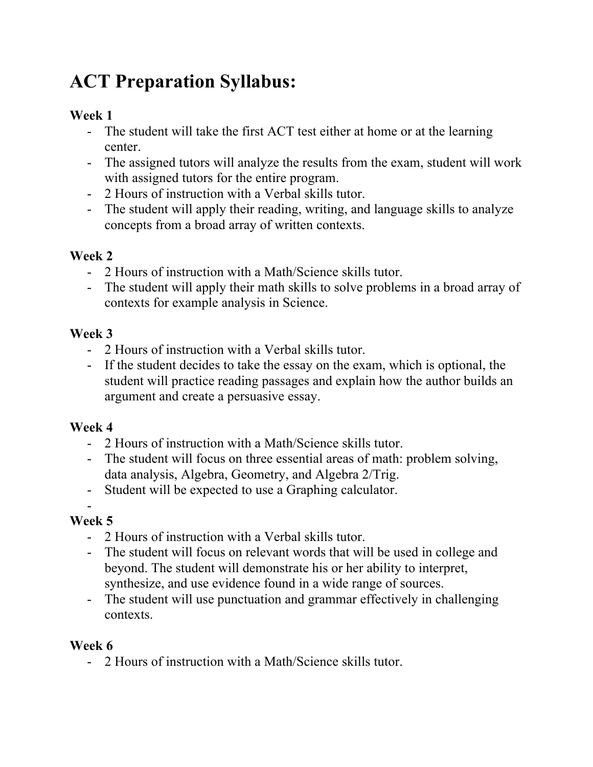# **ACT Preparation Syllabus:**

### **Week 1**

- The student will take the first ACT test either at home or at the learning center.
- The assigned tutors will analyze the results from the exam, student will work with assigned tutors for the entire program.
- 2 Hours of instruction with a Verbal skills tutor.
- The student will apply their reading, writing, and language skills to analyze concepts from a broad array of written contexts.

#### **Week 2**

- 2 Hours of instruction with a Math/Science skills tutor.
- The student will apply their math skills to solve problems in a broad array of contexts for example analysis in Science.

### **Week 3**

- 2 Hours of instruction with a Verbal skills tutor.
- If the student decides to take the essay on the exam, which is optional, the student will practice reading passages and explain how the author builds an argument and create a persuasive essay.

#### **Week 4**

- 2 Hours of instruction with a Math/Science skills tutor.
- The student will focus on three essential areas of math: problem solving, data analysis, Algebra, Geometry, and Algebra 2/Trig.
- Student will be expected to use a Graphing calculator.

-

## **Week 5**

- 2 Hours of instruction with a Verbal skills tutor.
- The student will focus on relevant words that will be used in college and beyond. The student will demonstrate his or her ability to interpret, synthesize, and use evidence found in a wide range of sources.
- The student will use punctuation and grammar effectively in challenging contexts.

#### **Week 6**

- 2 Hours of instruction with a Math/Science skills tutor.